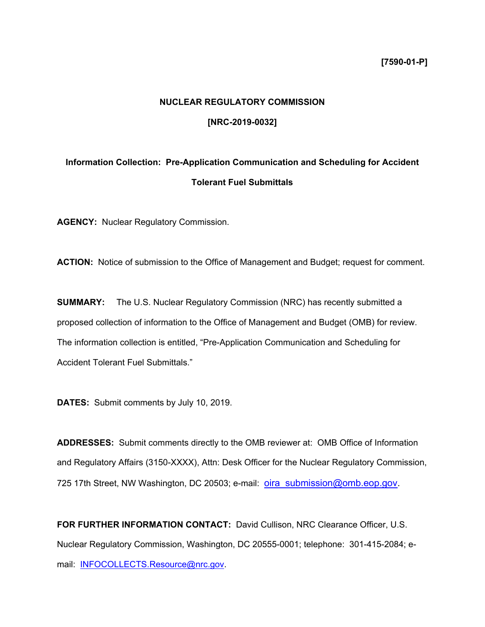# **NUCLEAR REGULATORY COMMISSION**

## **[NRC-2019-0032]**

# **Information Collection: Pre-Application Communication and Scheduling for Accident Tolerant Fuel Submittals**

**AGENCY:** Nuclear Regulatory Commission.

**ACTION:** Notice of submission to the Office of Management and Budget; request for comment.

**SUMMARY:** The U.S. Nuclear Regulatory Commission (NRC) has recently submitted a proposed collection of information to the Office of Management and Budget (OMB) for review. The information collection is entitled, "Pre-Application Communication and Scheduling for Accident Tolerant Fuel Submittals."

**DATES:** Submit comments by July 10, 2019.

**ADDRESSES:** Submit comments directly to the OMB reviewer at: OMB Office of Information and Regulatory Affairs (3150-XXXX), Attn: Desk Officer for the Nuclear Regulatory Commission, 725 17th Street, NW Washington, DC 20503; e-mail: oira\_submission@omb.eop.gov.

**FOR FURTHER INFORMATION CONTACT:** David Cullison, NRC Clearance Officer, U.S. Nuclear Regulatory Commission, Washington, DC 20555-0001; telephone: 301-415-2084; email: **INFOCOLLECTS.Resource@nrc.gov.**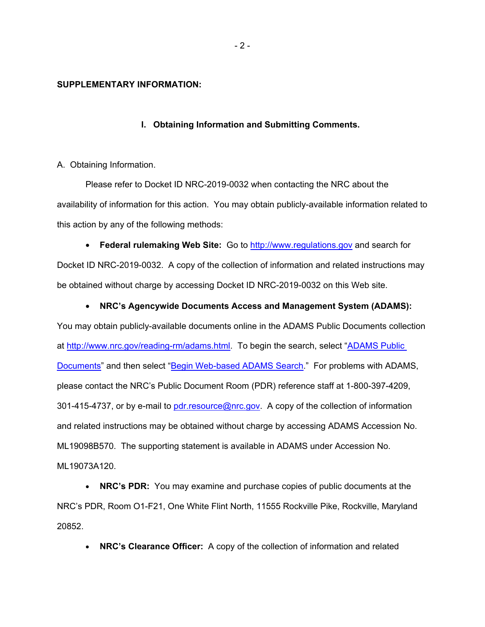### **SUPPLEMENTARY INFORMATION:**

### **I. Obtaining Information and Submitting Comments.**

#### A. Obtaining Information.

Please refer to Docket ID NRC-2019-0032 when contacting the NRC about the availability of information for this action. You may obtain publicly-available information related to this action by any of the following methods:

• **Federal rulemaking Web Site:** Go to http://www.regulations.gov and search for Docket ID NRC-2019-0032. A copy of the collection of information and related instructions may be obtained without charge by accessing Docket ID NRC-2019-0032 on this Web site.

## • **NRC's Agencywide Documents Access and Management System (ADAMS):**

You may obtain publicly-available documents online in the ADAMS Public Documents collection at http://www.nrc.gov/reading-rm/adams.html. To begin the search, select "ADAMS Public Documents" and then select "Begin Web-based ADAMS Search." For problems with ADAMS, please contact the NRC's Public Document Room (PDR) reference staff at 1-800-397-4209, 301-415-4737, or by e-mail to pdr.resource@nrc.gov. A copy of the collection of information and related instructions may be obtained without charge by accessing ADAMS Accession No. ML19098B570. The supporting statement is available in ADAMS under Accession No. ML19073A120.

• **NRC's PDR:** You may examine and purchase copies of public documents at the NRC's PDR, Room O1-F21, One White Flint North, 11555 Rockville Pike, Rockville, Maryland 20852.

• **NRC's Clearance Officer:** A copy of the collection of information and related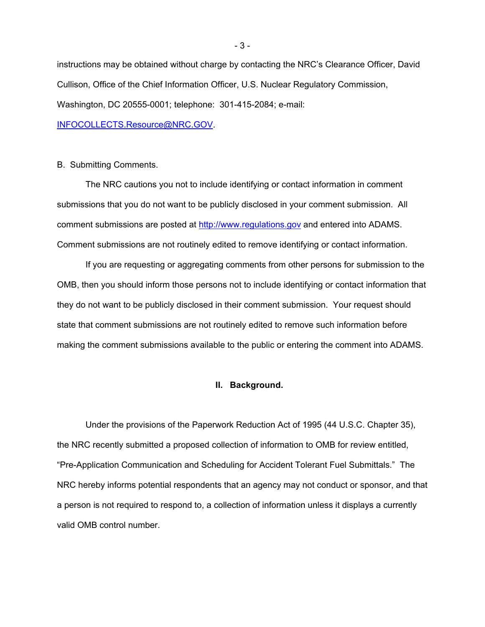instructions may be obtained without charge by contacting the NRC's Clearance Officer, David Cullison, Office of the Chief Information Officer, U.S. Nuclear Regulatory Commission, Washington, DC 20555-0001; telephone: 301-415-2084; e-mail:

INFOCOLLECTS.Resource@NRC.GOV.

B. Submitting Comments.

The NRC cautions you not to include identifying or contact information in comment submissions that you do not want to be publicly disclosed in your comment submission. All comment submissions are posted at http://www.regulations.gov and entered into ADAMS. Comment submissions are not routinely edited to remove identifying or contact information.

If you are requesting or aggregating comments from other persons for submission to the OMB, then you should inform those persons not to include identifying or contact information that they do not want to be publicly disclosed in their comment submission. Your request should state that comment submissions are not routinely edited to remove such information before making the comment submissions available to the public or entering the comment into ADAMS.

## **II. Background.**

Under the provisions of the Paperwork Reduction Act of 1995 (44 U.S.C. Chapter 35), the NRC recently submitted a proposed collection of information to OMB for review entitled, "Pre-Application Communication and Scheduling for Accident Tolerant Fuel Submittals." The NRC hereby informs potential respondents that an agency may not conduct or sponsor, and that a person is not required to respond to, a collection of information unless it displays a currently valid OMB control number.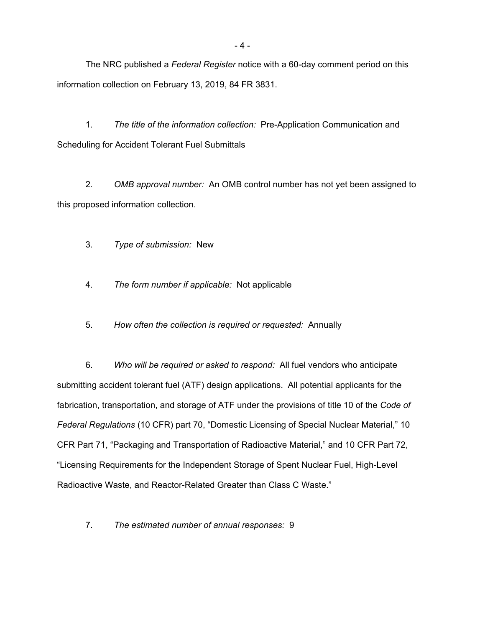The NRC published a *Federal Register* notice with a 60-day comment period on this information collection on February 13, 2019, 84 FR 3831.

1. *The title of the information collection:* Pre-Application Communication and Scheduling for Accident Tolerant Fuel Submittals

2. *OMB approval number:* An OMB control number has not yet been assigned to this proposed information collection.

- 3. *Type of submission:* New
- 4. *The form number if applicable:* Not applicable
- 5. *How often the collection is required or requested:* Annually

6. *Who will be required or asked to respond:* All fuel vendors who anticipate submitting accident tolerant fuel (ATF) design applications. All potential applicants for the fabrication, transportation, and storage of ATF under the provisions of title 10 of the *Code of Federal Regulations* (10 CFR) part 70, "Domestic Licensing of Special Nuclear Material," 10 CFR Part 71, "Packaging and Transportation of Radioactive Material," and 10 CFR Part 72, "Licensing Requirements for the Independent Storage of Spent Nuclear Fuel, High-Level Radioactive Waste, and Reactor-Related Greater than Class C Waste."

7. *The estimated number of annual responses:* 9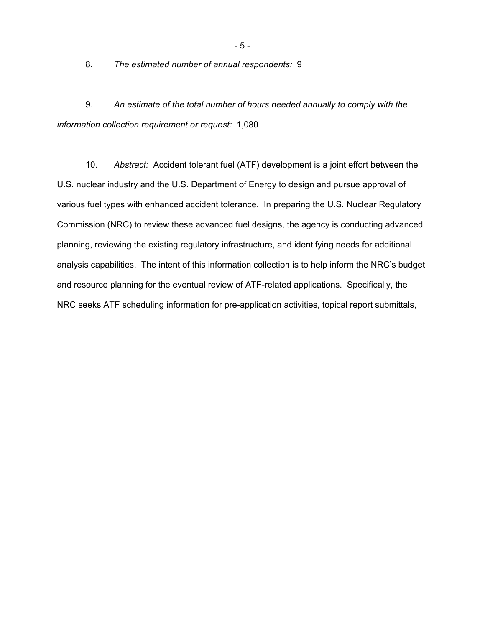8. *The estimated number of annual respondents:* 9

9. *An estimate of the total number of hours needed annually to comply with the information collection requirement or request:* 1,080

10. *Abstract:* Accident tolerant fuel (ATF) development is a joint effort between the U.S. nuclear industry and the U.S. Department of Energy to design and pursue approval of various fuel types with enhanced accident tolerance. In preparing the U.S. Nuclear Regulatory Commission (NRC) to review these advanced fuel designs, the agency is conducting advanced planning, reviewing the existing regulatory infrastructure, and identifying needs for additional analysis capabilities. The intent of this information collection is to help inform the NRC's budget and resource planning for the eventual review of ATF-related applications. Specifically, the NRC seeks ATF scheduling information for pre-application activities, topical report submittals,

- 5 -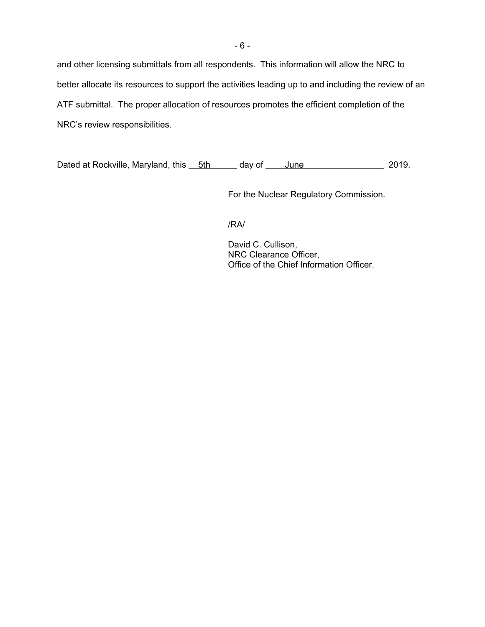and other licensing submittals from all respondents. This information will allow the NRC to better allocate its resources to support the activities leading up to and including the review of an ATF submittal. The proper allocation of resources promotes the efficient completion of the NRC's review responsibilities.

Dated at Rockville, Maryland, this 5th day of June 2019.

For the Nuclear Regulatory Commission.

/RA/

David C. Cullison, NRC Clearance Officer, Office of the Chief Information Officer.